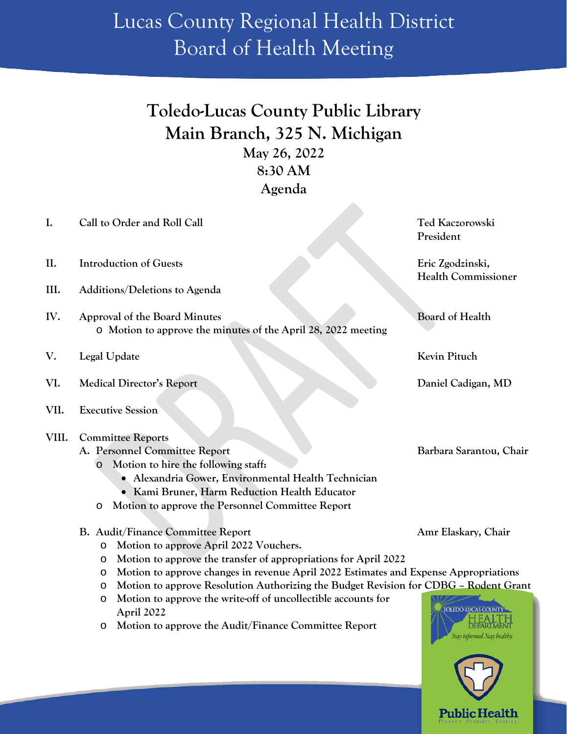## Lucas County Regional Health District Board of Health Meeting

## **Toledo-Lucas County Public Library Main Branch, 325 N. Michigan May 26, 2022 8:30 AM Agenda**

| I.    | Call to Order and Roll Call                                                                     | Ted Kaczorowski             |
|-------|-------------------------------------------------------------------------------------------------|-----------------------------|
|       |                                                                                                 | President                   |
| II.   | <b>Introduction of Guests</b>                                                                   | Eric Zgodzinski,            |
|       |                                                                                                 | <b>Health Commissioner</b>  |
| III.  | Additions/Deletions to Agenda                                                                   |                             |
| IV.   | Approval of the Board Minutes                                                                   | <b>Board of Health</b>      |
|       | o Motion to approve the minutes of the April 28, 2022 meeting                                   |                             |
| V.    | Legal Update                                                                                    | Kevin Pituch                |
| VI.   | <b>Medical Director's Report</b>                                                                | Daniel Cadigan, MD          |
| VII.  | <b>Executive Session</b>                                                                        |                             |
| VIII. | <b>Committee Reports</b>                                                                        |                             |
|       | A. Personnel Committee Report                                                                   | Barbara Sarantou, Chair     |
|       | Motion to hire the following staff:<br>$\circ$                                                  |                             |
|       | · Alexandria Gower, Environmental Health Technician                                             |                             |
|       | Kami Bruner, Harm Reduction Health Educator                                                     |                             |
|       | Motion to approve the Personnel Committee Report<br>O                                           |                             |
|       |                                                                                                 |                             |
|       | B. Audit/Finance Committee Report                                                               | Amr Elaskary, Chair         |
|       | Motion to approve April 2022 Vouchers.<br>O                                                     |                             |
|       | Motion to approve the transfer of appropriations for April 2022<br>$\circ$                      |                             |
|       | Motion to approve changes in revenue April 2022 Estimates and Expense Appropriations<br>$\circ$ |                             |
|       | Motion to approve Resolution Authorizing the Budget Revision for CDBG - Rodent Grant<br>$\circ$ |                             |
|       | Motion to approve the write-off of uncollectible accounts for<br>O<br>April 2022                | TOLEDO-LUCAS COUNT          |
|       | Motion to approve the Audit/Finance Committee Report<br>$\circ$                                 | Stay informed. Stay healthy |
|       |                                                                                                 |                             |